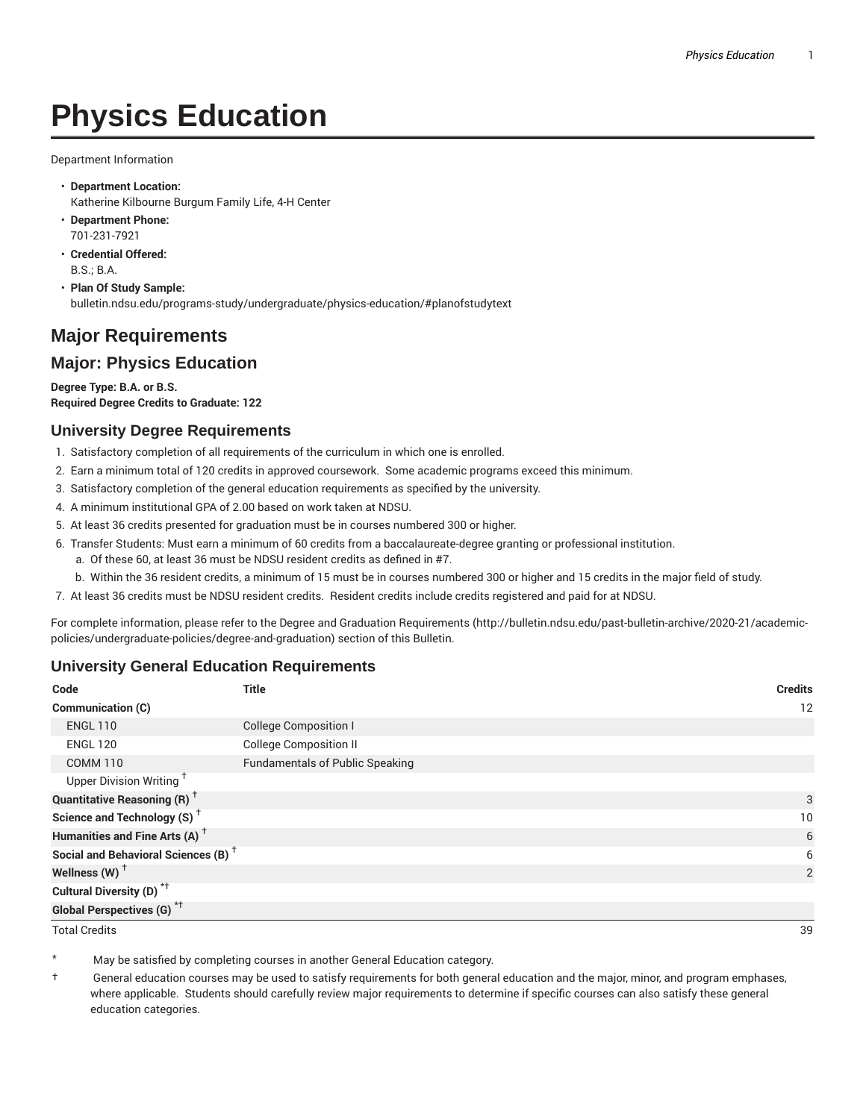# **Physics Education**

Department Information

- **Department Location:** Katherine Kilbourne Burgum Family Life, 4-H Center
- **Department Phone:** 701-231-7921
- **Credential Offered:** B.S.; B.A.
- **Plan Of Study Sample:** bulletin.ndsu.edu/programs-study/undergraduate/physics-education/#planofstudytext

# **Major Requirements**

# **Major: Physics Education**

**Degree Type: B.A. or B.S. Required Degree Credits to Graduate: 122**

## **University Degree Requirements**

- 1. Satisfactory completion of all requirements of the curriculum in which one is enrolled.
- 2. Earn a minimum total of 120 credits in approved coursework. Some academic programs exceed this minimum.
- 3. Satisfactory completion of the general education requirements as specified by the university.
- 4. A minimum institutional GPA of 2.00 based on work taken at NDSU.
- 5. At least 36 credits presented for graduation must be in courses numbered 300 or higher.
- 6. Transfer Students: Must earn a minimum of 60 credits from a baccalaureate-degree granting or professional institution.
	- a. Of these 60, at least 36 must be NDSU resident credits as defined in #7.
	- b. Within the 36 resident credits, a minimum of 15 must be in courses numbered 300 or higher and 15 credits in the major field of study.
- 7. At least 36 credits must be NDSU resident credits. Resident credits include credits registered and paid for at NDSU.

For complete information, please refer to the Degree and Graduation Requirements (http://bulletin.ndsu.edu/past-bulletin-archive/2020-21/academicpolicies/undergraduate-policies/degree-and-graduation) section of this Bulletin.

#### **University General Education Requirements**

| Code                                            | <b>Title</b>                           | <b>Credits</b> |
|-------------------------------------------------|----------------------------------------|----------------|
| Communication (C)                               |                                        | 12             |
| <b>ENGL 110</b>                                 | <b>College Composition I</b>           |                |
| <b>ENGL 120</b>                                 | <b>College Composition II</b>          |                |
| <b>COMM 110</b>                                 | <b>Fundamentals of Public Speaking</b> |                |
| Upper Division Writing <sup>+</sup>             |                                        |                |
| <b>Quantitative Reasoning (R)</b> <sup>†</sup>  |                                        | 3              |
| Science and Technology (S) <sup>+</sup>         |                                        | 10             |
| Humanities and Fine Arts (A) <sup>+</sup>       |                                        | 6              |
| Social and Behavioral Sciences (B) <sup>+</sup> |                                        | 6              |
| Wellness $(W)$ <sup>+</sup>                     |                                        | 2              |
| Cultural Diversity (D) <sup>*†</sup>            |                                        |                |
| <b>Global Perspectives (G)</b> * <sup>†</sup>   |                                        |                |

Total Credits 39

May be satisfied by completing courses in another General Education category.

† General education courses may be used to satisfy requirements for both general education and the major, minor, and program emphases, where applicable. Students should carefully review major requirements to determine if specific courses can also satisfy these general education categories.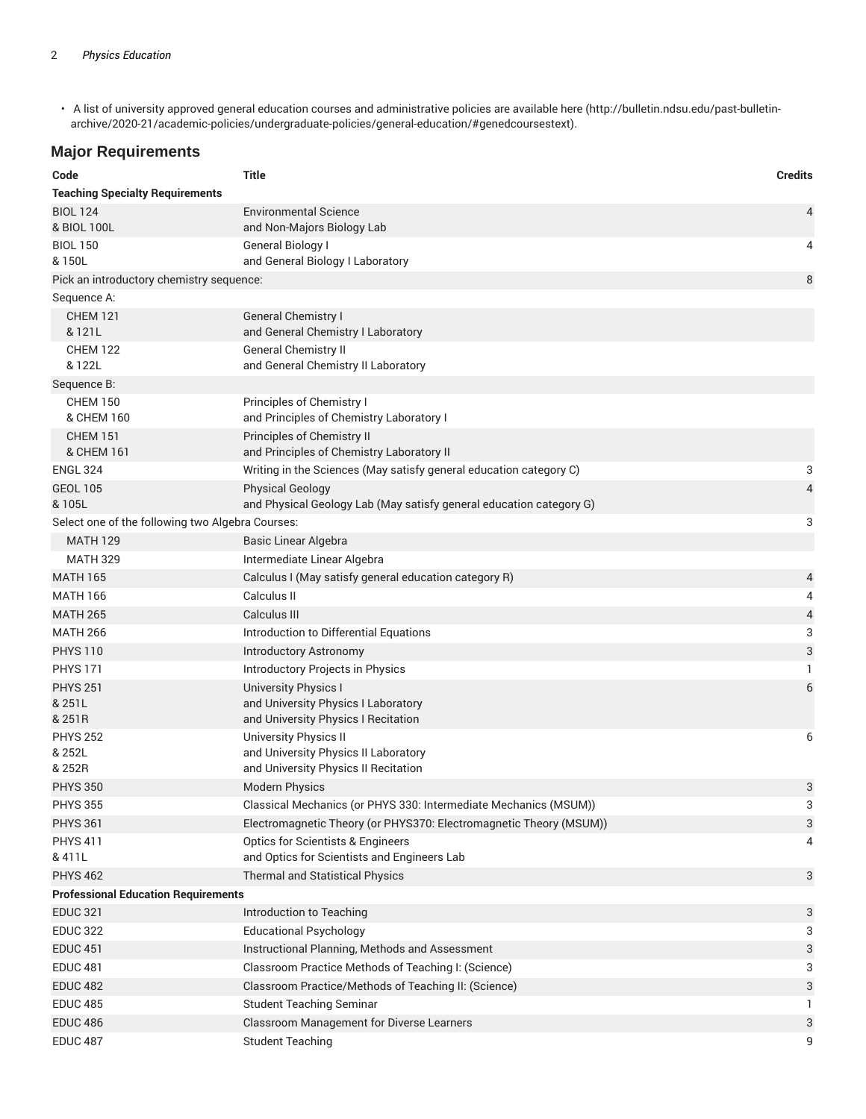• A list of university approved general education courses and administrative policies are available here (http://bulletin.ndsu.edu/past-bulletinarchive/2020-21/academic-policies/undergraduate-policies/general-education/#genedcoursestext).

### **Major Requirements**

| Code                                             | <b>Title</b>                                                                                              | <b>Credits</b> |  |  |
|--------------------------------------------------|-----------------------------------------------------------------------------------------------------------|----------------|--|--|
| <b>Teaching Specialty Requirements</b>           |                                                                                                           |                |  |  |
| <b>BIOL 124</b><br>& BIOL 100L                   | <b>Environmental Science</b><br>and Non-Majors Biology Lab                                                | 4              |  |  |
| <b>BIOL 150</b><br>& 150L                        | General Biology I<br>and General Biology I Laboratory                                                     | 4              |  |  |
| 8<br>Pick an introductory chemistry sequence:    |                                                                                                           |                |  |  |
| Sequence A:                                      |                                                                                                           |                |  |  |
| <b>CHEM 121</b><br>& 121L                        | <b>General Chemistry I</b><br>and General Chemistry I Laboratory                                          |                |  |  |
| <b>CHEM 122</b><br>& 122L                        | <b>General Chemistry II</b><br>and General Chemistry II Laboratory                                        |                |  |  |
| Sequence B:                                      |                                                                                                           |                |  |  |
| <b>CHEM 150</b><br>& CHEM 160                    | Principles of Chemistry I<br>and Principles of Chemistry Laboratory I                                     |                |  |  |
| <b>CHEM 151</b><br>& CHEM 161                    | Principles of Chemistry II<br>and Principles of Chemistry Laboratory II                                   |                |  |  |
| <b>ENGL 324</b>                                  | Writing in the Sciences (May satisfy general education category C)                                        | 3              |  |  |
| <b>GEOL 105</b>                                  | <b>Physical Geology</b>                                                                                   | 4              |  |  |
| & 105L                                           | and Physical Geology Lab (May satisfy general education category G)                                       |                |  |  |
| Select one of the following two Algebra Courses: |                                                                                                           | 3              |  |  |
| <b>MATH 129</b>                                  | Basic Linear Algebra                                                                                      |                |  |  |
| <b>MATH 329</b>                                  | Intermediate Linear Algebra                                                                               |                |  |  |
| <b>MATH 165</b>                                  | Calculus I (May satisfy general education category R)                                                     | 4              |  |  |
| <b>MATH 166</b>                                  | Calculus II                                                                                               | 4              |  |  |
| <b>MATH 265</b>                                  | Calculus III                                                                                              | 4              |  |  |
| <b>MATH 266</b>                                  | Introduction to Differential Equations                                                                    | 3              |  |  |
| <b>PHYS 110</b>                                  | <b>Introductory Astronomy</b>                                                                             | 3              |  |  |
| <b>PHYS 171</b>                                  | Introductory Projects in Physics                                                                          | 1              |  |  |
| <b>PHYS 251</b><br>& 251L<br>& 251R              | <b>University Physics I</b><br>and University Physics I Laboratory<br>and University Physics I Recitation | 6              |  |  |
| <b>PHYS 252</b>                                  | University Physics II                                                                                     | 6              |  |  |
| & 252L<br>& 252R                                 | and University Physics II Laboratory<br>and University Physics II Recitation                              |                |  |  |
| <b>PHYS 350</b>                                  | <b>Modern Physics</b>                                                                                     | 3              |  |  |
| <b>PHYS 355</b>                                  | Classical Mechanics (or PHYS 330: Intermediate Mechanics (MSUM))                                          | 3              |  |  |
| <b>PHYS 361</b>                                  | Electromagnetic Theory (or PHYS370: Electromagnetic Theory (MSUM))                                        | 3              |  |  |
| <b>PHYS 411</b>                                  | <b>Optics for Scientists &amp; Engineers</b>                                                              | 4              |  |  |
| & 411L                                           | and Optics for Scientists and Engineers Lab                                                               |                |  |  |
| <b>PHYS 462</b>                                  | <b>Thermal and Statistical Physics</b>                                                                    | 3              |  |  |
| <b>Professional Education Requirements</b>       |                                                                                                           |                |  |  |
| <b>EDUC 321</b>                                  | Introduction to Teaching                                                                                  | 3              |  |  |
| <b>EDUC 322</b>                                  | <b>Educational Psychology</b>                                                                             | 3              |  |  |
| <b>EDUC 451</b>                                  | Instructional Planning, Methods and Assessment                                                            | 3              |  |  |
| <b>EDUC 481</b>                                  | Classroom Practice Methods of Teaching I: (Science)                                                       | 3              |  |  |
| <b>EDUC 482</b>                                  | Classroom Practice/Methods of Teaching II: (Science)                                                      | 3              |  |  |
| <b>EDUC 485</b>                                  | <b>Student Teaching Seminar</b>                                                                           | 1              |  |  |
| <b>EDUC 486</b>                                  | Classroom Management for Diverse Learners                                                                 | 3              |  |  |
| <b>EDUC 487</b>                                  | <b>Student Teaching</b>                                                                                   | 9              |  |  |